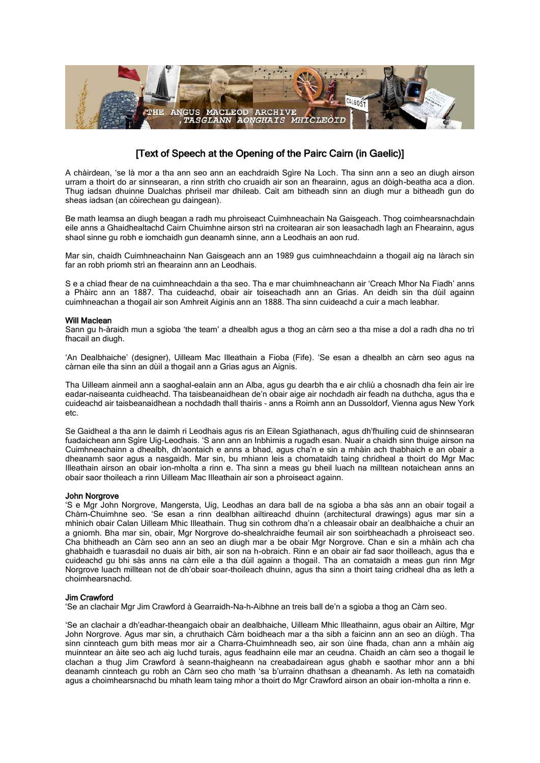

# [Text of Speech at the Opening of the Pairc Cairn (in Gaelic)]

A chàirdean, 'se là mor a tha ann seo ann an eachdraidh Sgìre Na Loch. Tha sinn ann a seo an diugh airson urram a thoirt do ar sinnsearan, a rinn strìth cho cruaidh air son an fhearainn, agus an dòigh-beatha aca a dìon. Thug iadsan dhuinne Dualchas phrìseil mar dhileab. Caìt am bitheadh sinn an diugh mur a bitheadh gun do sheas iadsan (an còirechean gu daingean).

Be math leamsa an diugh beagan a radh mu phroiseact Cuimhneachain Na Gaisgeach. Thog coimhearsnachdain eile anns a Ghaidhealtachd Cairn Chuimhne airson strì na croitearan air son leasachadh lagh an Fhearainn, agus shaol sinne gu robh e iomchaidh gun deanamh sinne, ann a Leodhais an aon rud.

Mar sin, chaidh Cuimhneachainn Nan Gaisgeach ann an 1989 gus cuimhneachdainn a thogail aig na làrach sin far an robh priomh strì an fhearainn ann an Leodhais.

S e a chiad fhear de na cuimhneachdain a tha seo. Tha e mar chuimhneachann air 'Creach Mhor Na Fiadh' anns a Phàirc ann an 1887. Tha cuideachd, obair air toiseachadh ann an Grias. An deidh sin tha dùil againn cuimhneachan a thogail air son Amhreit Aiginis ann an 1888. Tha sinn cuideachd a cuir a mach leabhar.

### Will Maclean

Sann gu h-àraidh mun a sgioba 'the team' a dhealbh agus a thog an càrn seo a tha mise a dol a radh dha no trì fhacail an diugh.

'An Dealbhaiche' (designer), Uilleam Mac Illeathain a Fioba (Fife). 'Se esan a dhealbh an càrn seo agus na càrnan eile tha sinn an dùil a thogail ann a Grias agus an Aignis.

Tha Uilleam ainmeil ann a saoghal-ealain ann an Alba, agus gu dearbh tha e air chliù a chosnadh dha fein air ìre eadar-naiseanta cuidheachd. Tha taisbeanaidhean de'n obair aige air nochdadh air feadh na duthcha, agus tha e cuideachd air taisbeanaidhean a nochdadh thall thairis – anns a Roimh ann an Dussoldorf, Vienna agus New York etc.

Se Gaidheal a tha ann le daimh ri Leodhais agus ris an Eilean Sgiathanach, agus dh'fhuiling cuid de shinnsearan fuadaichean ann Sgìre Uig-Leodhais. 'S ann ann an Inbhirnis a rugadh esan. Nuair a chaidh sinn thuige airson na Cuimhneachainn a dhealbh, dh'aontaich e anns a bhad, agus cha'n e sin a mhàin ach thabhaich e an obair a dheanamh saor agus a nasgaidh. Mar sin, bu mhiann leis a chomataidh taing chridheal a thoirt do Mgr Mac Illeathain airson an obair ion-mholta a rinn e. Tha sinn a meas gu bheil luach na milltean notaichean anns an obair saor thoileach a rinn Uilleam Mac Illeathain air son a phroiseact againn.

# John Norgrove

'S e Mgr John Norgrove, Mangersta, Uig, Leodhas an dara ball de na sgioba a bha sàs ann an obair togail a Chàrn-Chuimhne seo. 'Se esan a rinn dealbhan ailtireachd dhuinn (architectural drawings) agus mar sin a mhìnich obair Calan Uilleam Mhic Illeathain. Thug sin cothrom dha'n a chleasair obair an dealbhaiche a chuir an a gniomh. Bha mar sin, obair, Mgr Norgrove do-shealchraidhe feumail air son soirbheachadh a phroiseact seo. Cha bhitheadh an Càrn seo ann an seo an diugh mar a be obair Mgr Norgrove. Chan e sin a mhàin ach cha ghabhaidh e tuarasdail no duais air bith, air son na h-obraich. Rinn e an obair air fad saor thoilleach, agus tha e cuideachd gu bhi sàs anns na càrn eile a tha dùil againn a thogail. Tha an comataidh a meas gun rinn Mgr Norgrove luach milltean not de dh'obair soar-thoileach dhuinn, agus tha sinn a thoirt taing cridheal dha as leth a choimhearsnachd.

### Jim Crawford

'Se an clachair Mgr Jim Crawford à Gearraidh-Na-h-Aibhne an treis ball de'n a sgioba a thog an Càrn seo.

'Se an clachair a dh'eadhar-theangaich obair an dealbhaiche, Uilleam Mhic Illeathainn, agus obair an Ailtire, Mgr John Norgrove. Agus mar sin, a chruthaich Càrn boidheach mar a tha sibh a faicinn ann an seo an diùgh. Tha sinn cinnteach gum bith meas mor air a Charra-Chuimhneadh seo, air son ùine fhada, chan ann a mhàin aig muinntear an àite seo ach aig luchd turais, agus feadhainn eile mar an ceudna. Chaidh an càrn seo a thogail le clachan a thug Jim Crawford à seann-thaigheann na creabadairean agus ghabh e saothar mhor ann a bhi deanamh cinnteach gu robh an Càrn seo cho math 'sa b'urrainn dhathsan a dheanamh. As leth na comataidh agus a choimhearsnachd bu mhath leam taing mhor a thoirt do Mgr Crawford airson an obair ion-mholta a rinn e.